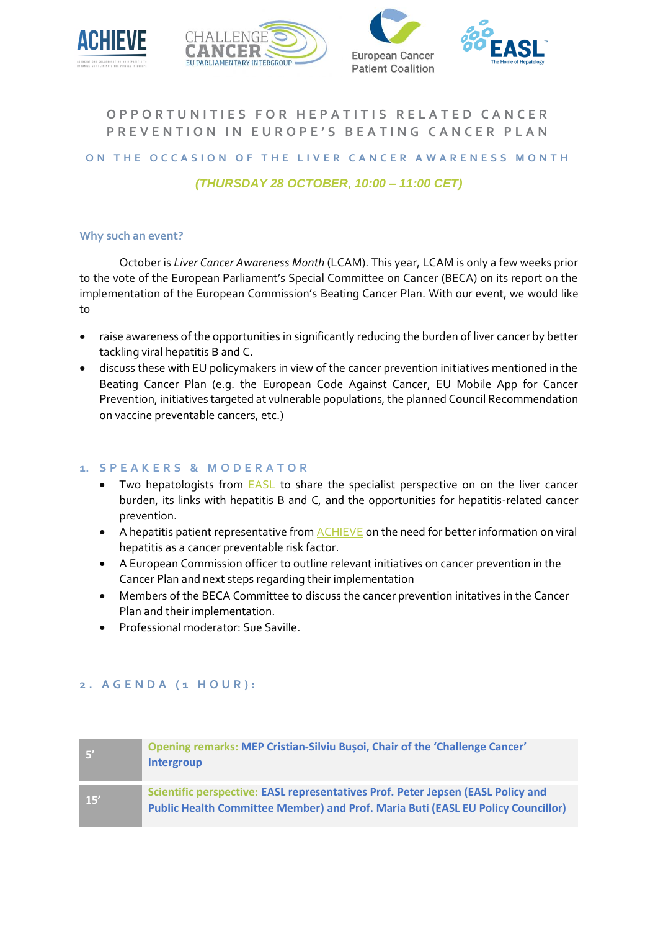





# **OPPORTUNITIES FOR HEPATITIS RELATED CANCER PREVENTION IN EUROPE'S BEATING CANCER PLAN**

#### **ON THE OCCASION OF THE LIVER CANCER AWARENESS MONTH**

## *(THURSDAY 28 OCTOBER, 10:00 – 11:00 CET)*

#### **Why such an event?**

October is *Liver Cancer Awareness Month* (LCAM). This year, LCAM is only a few weeks prior to the vote of the European Parliament's Special Committee on Cancer (BECA) on its report on the implementation of the European Commission's Beating Cancer Plan. With our event, we would like to

- raise awareness of the opportunities in significantly reducing the burden of liver cancer by better tackling viral hepatitis B and C.
- discuss these with EU policymakers in view of the cancer prevention initiatives mentioned in the Beating Cancer Plan (e.g. the European Code Against Cancer, EU Mobile App for Cancer Prevention, initiatives targeted at vulnerable populations, the planned Council Recommendation on vaccine preventable cancers, etc.)

## **1. S P E A K E R S & M O D E R A T O R**

- Two hepatologists from [EASL](https://easl.eu/) to share the specialist perspective on on the liver cancer burden, its links with hepatitis B and C, and the opportunities for hepatitis-related cancer prevention.
- A hepatitis patient representative fro[m ACHIEVE](https://achievehepatitiselimination.eu/) on the need for better information on viral hepatitis as a cancer preventable risk factor.
- A European Commission officer to outline relevant initiatives on cancer prevention in the Cancer Plan and next steps regarding their implementation
- Members of the BECA Committee to discuss the cancer prevention initatives in the Cancer Plan and their implementation.
- Professional moderator: Sue Saville.

### **2 . A G E N D A ( 1 H O U R ) :**

| <b>S</b> | Opening remarks: MEP Cristian-Silviu Busoi, Chair of the 'Challenge Cancer'<br><b>Intergroup</b>                                                                     |
|----------|----------------------------------------------------------------------------------------------------------------------------------------------------------------------|
| 15'      | Scientific perspective: EASL representatives Prof. Peter Jepsen (EASL Policy and<br>Public Health Committee Member) and Prof. Maria Buti (EASL EU Policy Councillor) |